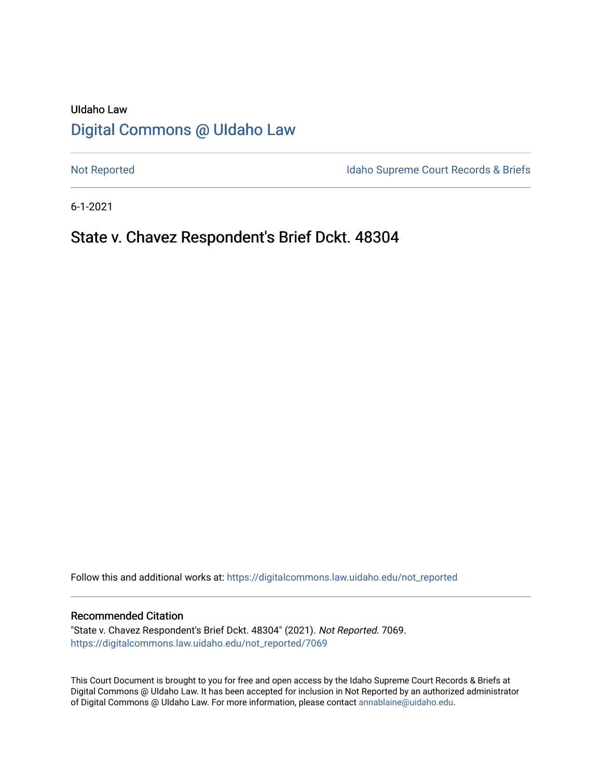# UIdaho Law [Digital Commons @ UIdaho Law](https://digitalcommons.law.uidaho.edu/)

[Not Reported](https://digitalcommons.law.uidaho.edu/not_reported) **Idaho Supreme Court Records & Briefs** 

6-1-2021

## State v. Chavez Respondent's Brief Dckt. 48304

Follow this and additional works at: [https://digitalcommons.law.uidaho.edu/not\\_reported](https://digitalcommons.law.uidaho.edu/not_reported?utm_source=digitalcommons.law.uidaho.edu%2Fnot_reported%2F7069&utm_medium=PDF&utm_campaign=PDFCoverPages) 

#### Recommended Citation

"State v. Chavez Respondent's Brief Dckt. 48304" (2021). Not Reported. 7069. [https://digitalcommons.law.uidaho.edu/not\\_reported/7069](https://digitalcommons.law.uidaho.edu/not_reported/7069?utm_source=digitalcommons.law.uidaho.edu%2Fnot_reported%2F7069&utm_medium=PDF&utm_campaign=PDFCoverPages)

This Court Document is brought to you for free and open access by the Idaho Supreme Court Records & Briefs at Digital Commons @ UIdaho Law. It has been accepted for inclusion in Not Reported by an authorized administrator of Digital Commons @ UIdaho Law. For more information, please contact [annablaine@uidaho.edu](mailto:annablaine@uidaho.edu).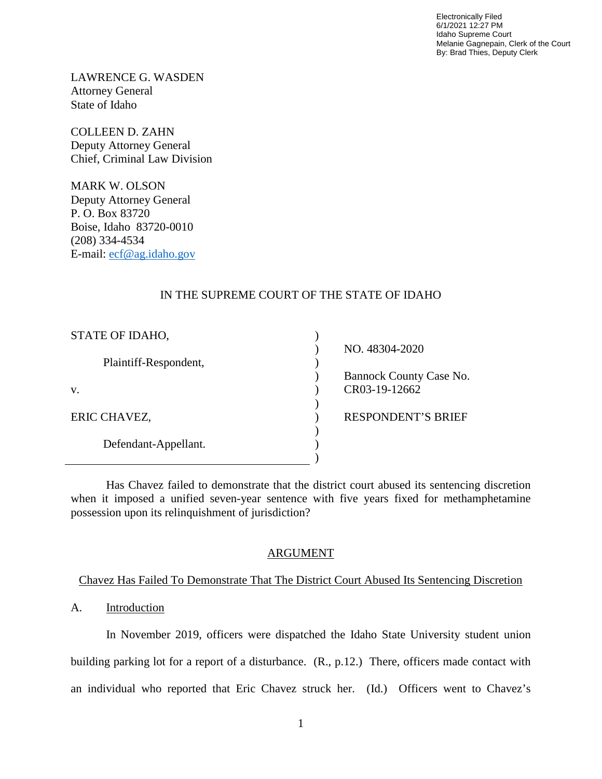Electronically Filed 6/1/2021 12:27 PM Idaho Supreme Court Melanie Gagnepain, Clerk of the Court By: Brad Thies, Deputy Clerk

LAWRENCE G. WASDEN Attorney General State of Idaho

COLLEEN D. ZAHN Deputy Attorney General Chief, Criminal Law Division

MARK W. OLSON Deputy Attorney General P. O. Box 83720 Boise, Idaho 83720-0010 (208) 334-4534 E-mail: [ecf@ag.idaho.gov](mailto:ecf@ag.idaho.gov)

## IN THE SUPREME COURT OF THE STATE OF IDAHO

| STATE OF IDAHO,       |                           |
|-----------------------|---------------------------|
|                       | NO. 48304-2020            |
| Plaintiff-Respondent, |                           |
|                       | Bannock County Case No.   |
| v.                    | CR03-19-12662             |
|                       |                           |
| ERIC CHAVEZ,          | <b>RESPONDENT'S BRIEF</b> |
|                       |                           |
| Defendant-Appellant.  |                           |
|                       |                           |

Has Chavez failed to demonstrate that the district court abused its sentencing discretion when it imposed a unified seven-year sentence with five years fixed for methamphetamine possession upon its relinquishment of jurisdiction?

### ARGUMENT

### Chavez Has Failed To Demonstrate That The District Court Abused Its Sentencing Discretion

## A. Introduction

In November 2019, officers were dispatched the Idaho State University student union building parking lot for a report of a disturbance. (R., p.12.) There, officers made contact with an individual who reported that Eric Chavez struck her. (Id.) Officers went to Chavez's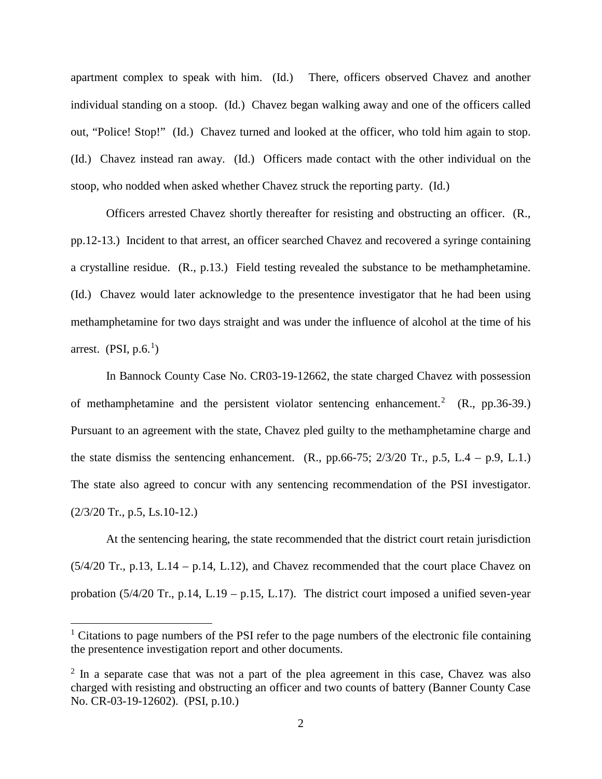apartment complex to speak with him. (Id.) There, officers observed Chavez and another individual standing on a stoop. (Id.) Chavez began walking away and one of the officers called out, "Police! Stop!" (Id.) Chavez turned and looked at the officer, who told him again to stop. (Id.) Chavez instead ran away. (Id.) Officers made contact with the other individual on the stoop, who nodded when asked whether Chavez struck the reporting party. (Id.)

Officers arrested Chavez shortly thereafter for resisting and obstructing an officer. (R., pp.12-13.) Incident to that arrest, an officer searched Chavez and recovered a syringe containing a crystalline residue. (R., p.13.) Field testing revealed the substance to be methamphetamine. (Id.) Chavez would later acknowledge to the presentence investigator that he had been using methamphetamine for two days straight and was under the influence of alcohol at the time of his arrest.  $(PSI, p.6<sup>1</sup>)$  $(PSI, p.6<sup>1</sup>)$  $(PSI, p.6<sup>1</sup>)$ 

In Bannock County Case No. CR03-19-12662, the state charged Chavez with possession of methamphetamine and the persistent violator sentencing enhancement.<sup>[2](#page-2-1)</sup> (R., pp.36-39.) Pursuant to an agreement with the state, Chavez pled guilty to the methamphetamine charge and the state dismiss the sentencing enhancement.  $(R, pp.66-75; 2/3/20 \text{ Tr}, p.5, L.4 - p.9, L.1.)$ The state also agreed to concur with any sentencing recommendation of the PSI investigator. (2/3/20 Tr., p.5, Ls.10-12.)

At the sentencing hearing, the state recommended that the district court retain jurisdiction  $(5/4/20 \text{ Tr}., p.13, L.14 - p.14, L.12),$  and Chavez recommended that the court place Chavez on probation (5/4/20 Tr., p.14, L.19 – p.15, L.17). The district court imposed a unified seven-year

 $\overline{a}$ 

<span id="page-2-0"></span> $1$  Citations to page numbers of the PSI refer to the page numbers of the electronic file containing the presentence investigation report and other documents.

<span id="page-2-1"></span> $2 \text{ In a separate case that was not a part of the plea agreement in this case, Chavez was also.}$ charged with resisting and obstructing an officer and two counts of battery (Banner County Case No. CR-03-19-12602). (PSI, p.10.)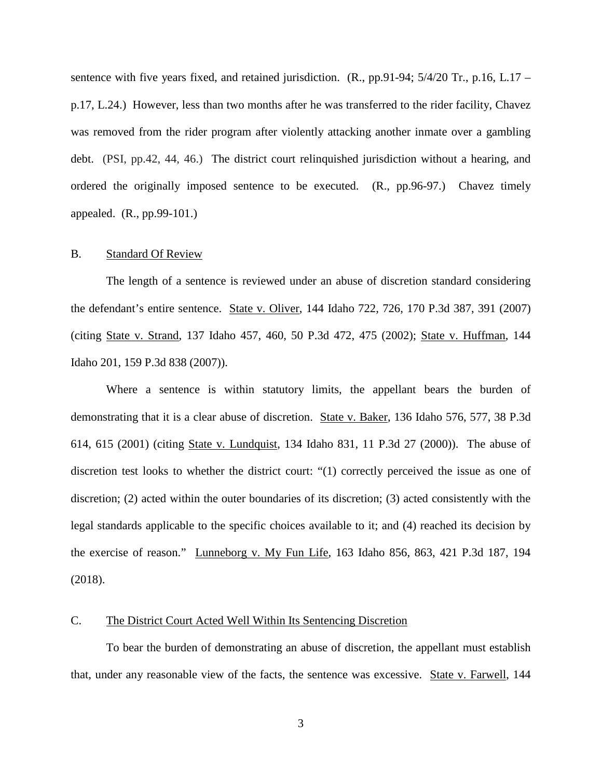sentence with five years fixed, and retained jurisdiction.  $(R_n, pp.91-94; 5/4/20 \text{ Tr}, p.16, L.17$  – p.17, L.24.) However, less than two months after he was transferred to the rider facility, Chavez was removed from the rider program after violently attacking another inmate over a gambling debt. (PSI, pp.42, 44, 46.) The district court relinquished jurisdiction without a hearing, and ordered the originally imposed sentence to be executed. (R., pp.96-97.) Chavez timely appealed. (R., pp.99-101.)

#### B. Standard Of Review

The length of a sentence is reviewed under an abuse of discretion standard considering the defendant's entire sentence. State v. Oliver, 144 Idaho 722, 726, 170 P.3d 387, 391 (2007) (citing State v. Strand, 137 Idaho 457, 460, 50 P.3d 472, 475 (2002); State v. Huffman, 144 Idaho 201, 159 P.3d 838 (2007)).

Where a sentence is within statutory limits, the appellant bears the burden of demonstrating that it is a clear abuse of discretion. State v. Baker, 136 Idaho 576, 577, 38 P.3d 614, 615 (2001) (citing State v. Lundquist, 134 Idaho 831, 11 P.3d 27 (2000)). The abuse of discretion test looks to whether the district court: "(1) correctly perceived the issue as one of discretion; (2) acted within the outer boundaries of its discretion; (3) acted consistently with the legal standards applicable to the specific choices available to it; and (4) reached its decision by the exercise of reason." Lunneborg v. My Fun Life, 163 Idaho 856, 863, 421 P.3d 187, 194 (2018).

#### C. The District Court Acted Well Within Its Sentencing Discretion

To bear the burden of demonstrating an abuse of discretion, the appellant must establish that, under any reasonable view of the facts, the sentence was excessive. State v. Farwell, 144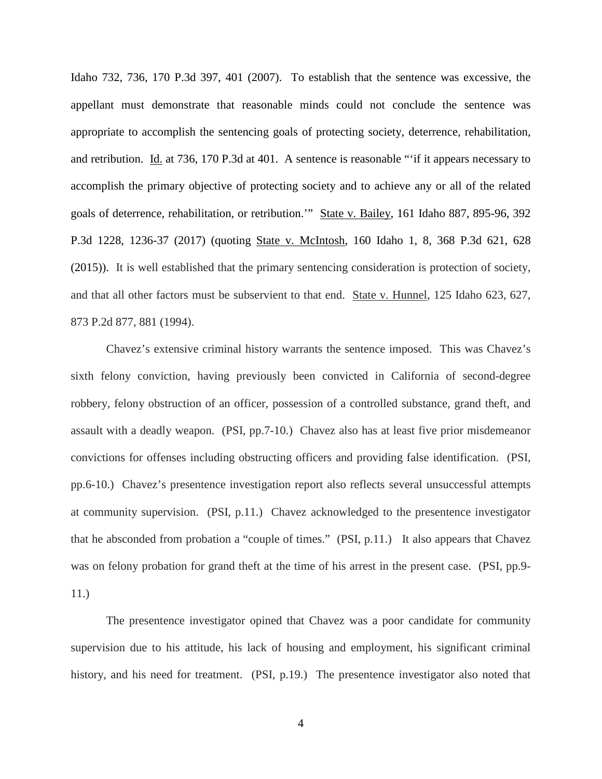Idaho 732, 736, 170 P.3d 397, 401 (2007). To establish that the sentence was excessive, the appellant must demonstrate that reasonable minds could not conclude the sentence was appropriate to accomplish the sentencing goals of protecting society, deterrence, rehabilitation, and retribution. Id. at 736, 170 P.3d at 401. A sentence is reasonable "'if it appears necessary to accomplish the primary objective of protecting society and to achieve any or all of the related goals of deterrence, rehabilitation, or retribution.'" State v. Bailey, 161 Idaho 887, 895-96, 392 P.3d 1228, 1236-37 (2017) (quoting State v. McIntosh, 160 Idaho 1, 8, 368 P.3d 621, 628 (2015)). It is well established that the primary sentencing consideration is protection of society, and that all other factors must be subservient to that end. State v. Hunnel, 125 Idaho 623, 627, 873 P.2d 877, 881 (1994).

Chavez's extensive criminal history warrants the sentence imposed. This was Chavez's sixth felony conviction, having previously been convicted in California of second-degree robbery, felony obstruction of an officer, possession of a controlled substance, grand theft, and assault with a deadly weapon. (PSI, pp.7-10.) Chavez also has at least five prior misdemeanor convictions for offenses including obstructing officers and providing false identification. (PSI, pp.6-10.) Chavez's presentence investigation report also reflects several unsuccessful attempts at community supervision. (PSI, p.11.) Chavez acknowledged to the presentence investigator that he absconded from probation a "couple of times." (PSI, p.11.) It also appears that Chavez was on felony probation for grand theft at the time of his arrest in the present case. (PSI, pp.9-11.)

The presentence investigator opined that Chavez was a poor candidate for community supervision due to his attitude, his lack of housing and employment, his significant criminal history, and his need for treatment. (PSI, p.19.) The presentence investigator also noted that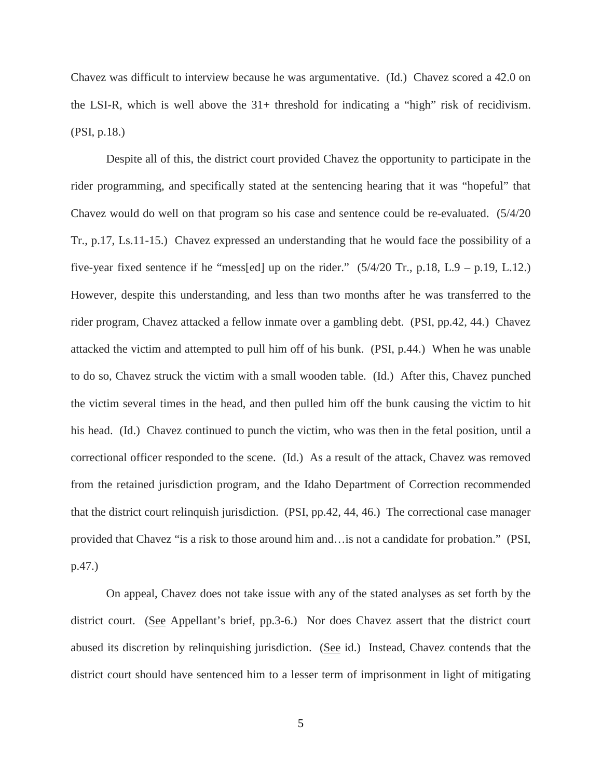Chavez was difficult to interview because he was argumentative. (Id.) Chavez scored a 42.0 on the LSI-R, which is well above the  $31+$  threshold for indicating a "high" risk of recidivism. (PSI, p.18.)

Despite all of this, the district court provided Chavez the opportunity to participate in the rider programming, and specifically stated at the sentencing hearing that it was "hopeful" that Chavez would do well on that program so his case and sentence could be re-evaluated. (5/4/20 Tr., p.17, Ls.11-15.) Chavez expressed an understanding that he would face the possibility of a five-year fixed sentence if he "mess[ed] up on the rider."  $(5/4/20 \text{ Tr.}, p.18, L.9 - p.19, L.12.)$ However, despite this understanding, and less than two months after he was transferred to the rider program, Chavez attacked a fellow inmate over a gambling debt. (PSI, pp.42, 44.) Chavez attacked the victim and attempted to pull him off of his bunk. (PSI, p.44.) When he was unable to do so, Chavez struck the victim with a small wooden table. (Id.) After this, Chavez punched the victim several times in the head, and then pulled him off the bunk causing the victim to hit his head. (Id.) Chavez continued to punch the victim, who was then in the fetal position, until a correctional officer responded to the scene. (Id.) As a result of the attack, Chavez was removed from the retained jurisdiction program, and the Idaho Department of Correction recommended that the district court relinquish jurisdiction. (PSI, pp.42, 44, 46.) The correctional case manager provided that Chavez "is a risk to those around him and…is not a candidate for probation." (PSI, p.47.)

On appeal, Chavez does not take issue with any of the stated analyses as set forth by the district court. (See Appellant's brief, pp.3-6.) Nor does Chavez assert that the district court abused its discretion by relinquishing jurisdiction. (See id.) Instead, Chavez contends that the district court should have sentenced him to a lesser term of imprisonment in light of mitigating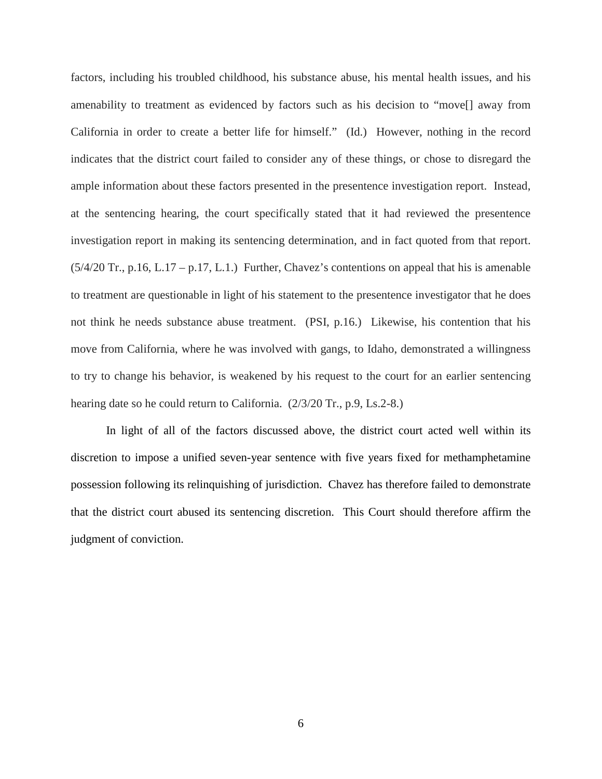factors, including his troubled childhood, his substance abuse, his mental health issues, and his amenability to treatment as evidenced by factors such as his decision to "move[] away from California in order to create a better life for himself." (Id.) However, nothing in the record indicates that the district court failed to consider any of these things, or chose to disregard the ample information about these factors presented in the presentence investigation report. Instead, at the sentencing hearing, the court specifically stated that it had reviewed the presentence investigation report in making its sentencing determination, and in fact quoted from that report. (5/4/20 Tr., p.16, L.17 – p.17, L.1.) Further, Chavez's contentions on appeal that his is amenable to treatment are questionable in light of his statement to the presentence investigator that he does not think he needs substance abuse treatment. (PSI, p.16.) Likewise, his contention that his move from California, where he was involved with gangs, to Idaho, demonstrated a willingness to try to change his behavior, is weakened by his request to the court for an earlier sentencing hearing date so he could return to California. (2/3/20 Tr., p.9, Ls.2-8.)

In light of all of the factors discussed above, the district court acted well within its discretion to impose a unified seven-year sentence with five years fixed for methamphetamine possession following its relinquishing of jurisdiction. Chavez has therefore failed to demonstrate that the district court abused its sentencing discretion. This Court should therefore affirm the judgment of conviction.